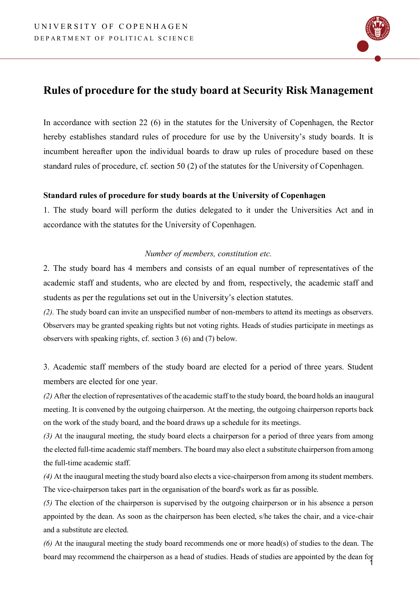

# **Rules of procedure for the study board at Security Risk Management**

In accordance with section 22 (6) in the statutes for the University of Copenhagen, the Rector hereby establishes standard rules of procedure for use by the University's study boards. It is incumbent hereafter upon the individual boards to draw up rules of procedure based on these standard rules of procedure, cf. section 50 (2) of the statutes for the University of Copenhagen.

## **Standard rules of procedure for study boards at the University of Copenhagen**

1. The study board will perform the duties delegated to it under the Universities Act and in accordance with the statutes for the University of Copenhagen.

## *Number of members, constitution etc.*

2. The study board has 4 members and consists of an equal number of representatives of the academic staff and students, who are elected by and from, respectively, the academic staff and students as per the regulations set out in the University's election statutes.

*(2).* The study board can invite an unspecified number of non-members to attend its meetings as observers. Observers may be granted speaking rights but not voting rights. Heads of studies participate in meetings as observers with speaking rights, cf. section 3 (6) and (7) below.

3. Academic staff members of the study board are elected for a period of three years. Student members are elected for one year.

*(2)* After the election of representatives of the academic staff to the study board, the board holds an inaugural meeting. It is convened by the outgoing chairperson. At the meeting, the outgoing chairperson reports back on the work of the study board, and the board draws up a schedule for its meetings.

*(3)* At the inaugural meeting, the study board elects a chairperson for a period of three years from among the elected full-time academic staff members. The board may also elect a substitute chairperson from among the full-time academic staff.

*(4)* At the inaugural meeting the study board also elects a vice-chairperson from among its student members. The vice-chairperson takes part in the organisation of the board's work as far as possible.

*(5)* The election of the chairperson is supervised by the outgoing chairperson or in his absence a person appointed by the dean. As soon as the chairperson has been elected, s/he takes the chair, and a vice-chair and a substitute are elected.

1 *(6)* At the inaugural meeting the study board recommends one or more head(s) of studies to the dean. The board may recommend the chairperson as a head of studies. Heads of studies are appointed by the dean for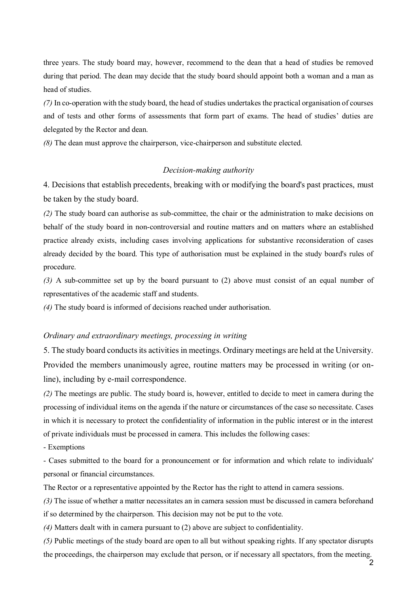three years. The study board may, however, recommend to the dean that a head of studies be removed during that period. The dean may decide that the study board should appoint both a woman and a man as head of studies.

*(7)* In co-operation with the study board, the head of studies undertakes the practical organisation of courses and of tests and other forms of assessments that form part of exams. The head of studies' duties are delegated by the Rector and dean.

*(8)* The dean must approve the chairperson, vice-chairperson and substitute elected.

#### *Decision-making authority*

4. Decisions that establish precedents, breaking with or modifying the board's past practices, must be taken by the study board.

*(2)* The study board can authorise as sub-committee, the chair or the administration to make decisions on behalf of the study board in non-controversial and routine matters and on matters where an established practice already exists, including cases involving applications for substantive reconsideration of cases already decided by the board. This type of authorisation must be explained in the study board's rules of procedure.

*(3)* A sub-committee set up by the board pursuant to (2) above must consist of an equal number of representatives of the academic staff and students.

*(4)* The study board is informed of decisions reached under authorisation.

#### *Ordinary and extraordinary meetings, processing in writing*

5. The study board conducts its activities in meetings. Ordinary meetings are held at the University. Provided the members unanimously agree, routine matters may be processed in writing (or online), including by e-mail correspondence.

*(2)* The meetings are public. The study board is, however, entitled to decide to meet in camera during the processing of individual items on the agenda if the nature or circumstances of the case so necessitate. Cases in which it is necessary to protect the confidentiality of information in the public interest or in the interest of private individuals must be processed in camera. This includes the following cases:

- Exemptions

- Cases submitted to the board for a pronouncement or for information and which relate to individuals' personal or financial circumstances.

The Rector or a representative appointed by the Rector has the right to attend in camera sessions.

*(3)* The issue of whether a matter necessitates an in camera session must be discussed in camera beforehand if so determined by the chairperson. This decision may not be put to the vote.

*(4)* Matters dealt with in camera pursuant to (2) above are subject to confidentiality.

*(5)* Public meetings of the study board are open to all but without speaking rights. If any spectator disrupts the proceedings, the chairperson may exclude that person, or if necessary all spectators, from the meeting.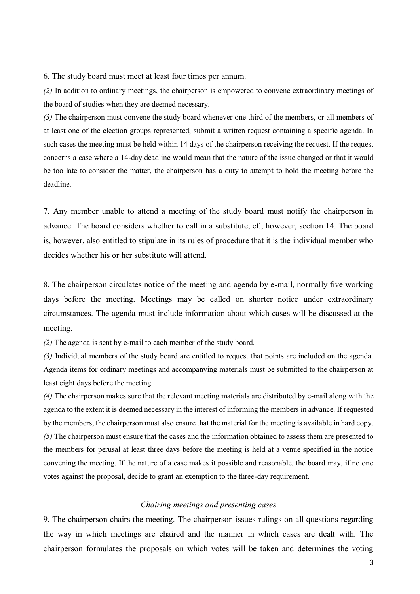6. The study board must meet at least four times per annum.

*(2)* In addition to ordinary meetings, the chairperson is empowered to convene extraordinary meetings of the board of studies when they are deemed necessary.

*(3)* The chairperson must convene the study board whenever one third of the members, or all members of at least one of the election groups represented, submit a written request containing a specific agenda. In such cases the meeting must be held within 14 days of the chairperson receiving the request. If the request concerns a case where a 14-day deadline would mean that the nature of the issue changed or that it would be too late to consider the matter, the chairperson has a duty to attempt to hold the meeting before the deadline.

7. Any member unable to attend a meeting of the study board must notify the chairperson in advance. The board considers whether to call in a substitute, cf., however, section 14. The board is, however, also entitled to stipulate in its rules of procedure that it is the individual member who decides whether his or her substitute will attend.

8. The chairperson circulates notice of the meeting and agenda by e-mail, normally five working days before the meeting. Meetings may be called on shorter notice under extraordinary circumstances. The agenda must include information about which cases will be discussed at the meeting.

*(2)* The agenda is sent by e-mail to each member of the study board.

*(3)* Individual members of the study board are entitled to request that points are included on the agenda. Agenda items for ordinary meetings and accompanying materials must be submitted to the chairperson at least eight days before the meeting.

*(4)* The chairperson makes sure that the relevant meeting materials are distributed by e-mail along with the agenda to the extent it is deemed necessary in the interest of informing the members in advance. If requested by the members, the chairperson must also ensure that the material for the meeting is available in hard copy. *(5)* The chairperson must ensure that the cases and the information obtained to assess them are presented to the members for perusal at least three days before the meeting is held at a venue specified in the notice convening the meeting. If the nature of a case makes it possible and reasonable, the board may, if no one votes against the proposal, decide to grant an exemption to the three-day requirement.

#### *Chairing meetings and presenting cases*

9. The chairperson chairs the meeting. The chairperson issues rulings on all questions regarding the way in which meetings are chaired and the manner in which cases are dealt with. The chairperson formulates the proposals on which votes will be taken and determines the voting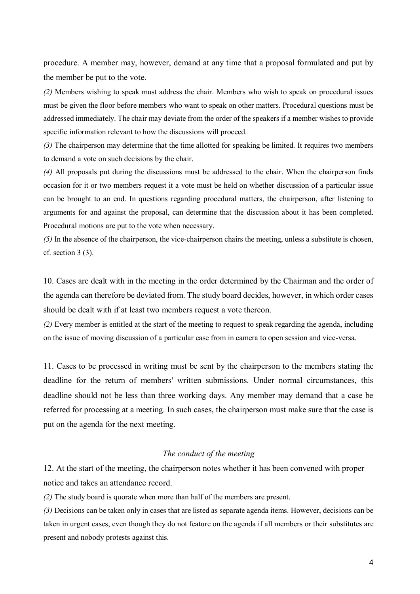procedure. A member may, however, demand at any time that a proposal formulated and put by the member be put to the vote.

*(2)* Members wishing to speak must address the chair. Members who wish to speak on procedural issues must be given the floor before members who want to speak on other matters. Procedural questions must be addressed immediately. The chair may deviate from the order of the speakers if a member wishes to provide specific information relevant to how the discussions will proceed.

*(3)* The chairperson may determine that the time allotted for speaking be limited. It requires two members to demand a vote on such decisions by the chair.

*(4)* All proposals put during the discussions must be addressed to the chair. When the chairperson finds occasion for it or two members request it a vote must be held on whether discussion of a particular issue can be brought to an end. In questions regarding procedural matters, the chairperson, after listening to arguments for and against the proposal, can determine that the discussion about it has been completed. Procedural motions are put to the vote when necessary.

*(5)* In the absence of the chairperson, the vice-chairperson chairs the meeting, unless a substitute is chosen, cf. section 3 (3).

10. Cases are dealt with in the meeting in the order determined by the Chairman and the order of the agenda can therefore be deviated from. The study board decides, however, in which order cases should be dealt with if at least two members request a vote thereon.

*(2)* Every member is entitled at the start of the meeting to request to speak regarding the agenda, including on the issue of moving discussion of a particular case from in camera to open session and vice-versa.

11. Cases to be processed in writing must be sent by the chairperson to the members stating the deadline for the return of members' written submissions. Under normal circumstances, this deadline should not be less than three working days. Any member may demand that a case be referred for processing at a meeting. In such cases, the chairperson must make sure that the case is put on the agenda for the next meeting.

#### *The conduct of the meeting*

12. At the start of the meeting, the chairperson notes whether it has been convened with proper notice and takes an attendance record.

*(2)* The study board is quorate when more than half of the members are present.

*(3)* Decisions can be taken only in cases that are listed as separate agenda items. However, decisions can be taken in urgent cases, even though they do not feature on the agenda if all members or their substitutes are present and nobody protests against this.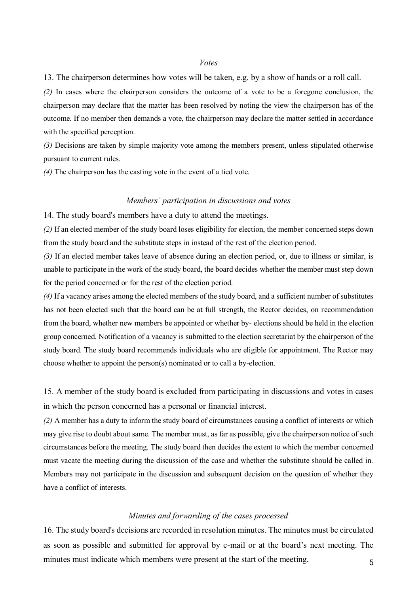#### *Votes*

13. The chairperson determines how votes will be taken, e.g. by a show of hands or a roll call.

*(2)* In cases where the chairperson considers the outcome of a vote to be a foregone conclusion, the chairperson may declare that the matter has been resolved by noting the view the chairperson has of the outcome. If no member then demands a vote, the chairperson may declare the matter settled in accordance with the specified perception.

*(3)* Decisions are taken by simple majority vote among the members present, unless stipulated otherwise pursuant to current rules.

*(4)* The chairperson has the casting vote in the event of a tied vote.

#### *Members' participation in discussions and votes*

14. The study board's members have a duty to attend the meetings.

*(2)* If an elected member of the study board loses eligibility for election, the member concerned steps down from the study board and the substitute steps in instead of the rest of the election period.

*(3)* If an elected member takes leave of absence during an election period, or, due to illness or similar, is unable to participate in the work of the study board, the board decides whether the member must step down for the period concerned or for the rest of the election period.

*(4)* If a vacancy arises among the elected members of the study board, and a sufficient number of substitutes has not been elected such that the board can be at full strength, the Rector decides, on recommendation from the board, whether new members be appointed or whether by- elections should be held in the election group concerned. Notification of a vacancy is submitted to the election secretariat by the chairperson of the study board. The study board recommends individuals who are eligible for appointment. The Rector may choose whether to appoint the person(s) nominated or to call a by-election.

15. A member of the study board is excluded from participating in discussions and votes in cases in which the person concerned has a personal or financial interest.

*(2)* A member has a duty to inform the study board of circumstances causing a conflict of interests or which may give rise to doubt about same. The member must, as far as possible, give the chairperson notice of such circumstances before the meeting. The study board then decides the extent to which the member concerned must vacate the meeting during the discussion of the case and whether the substitute should be called in. Members may not participate in the discussion and subsequent decision on the question of whether they have a conflict of interests.

### *Minutes and forwarding of the cases processed*

5 16. The study board's decisions are recorded in resolution minutes. The minutes must be circulated as soon as possible and submitted for approval by e-mail or at the board's next meeting. The minutes must indicate which members were present at the start of the meeting.